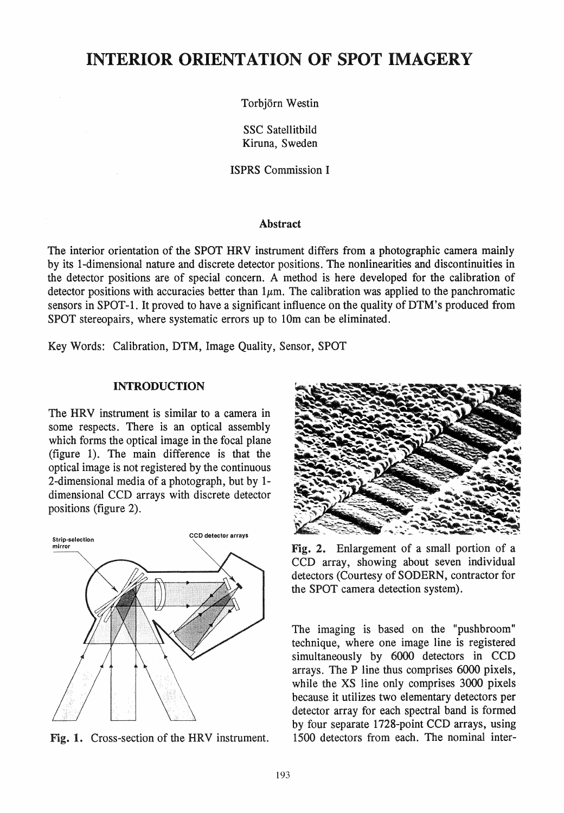# INTERIOR ORIENTATION OF SPOT IMAGERY

Torbjörn Westin

SSC Satellitbild Kiruna, Sweden

ISPRS Commission I

### Abstract

The interior orientation of the SPOT HRV instrument differs from a photographic camera mainly by its I-dimensional nature and discrete detector positions. The nonlinearities and discontinuities in the detector positions are of special concern. A method is here developed for the calibration of detector positions with accuracies better than  $1\mu$ m. The calibration was applied to the panchromatic sensors in SPOT-1. It proved to have a significant influence on the quality of DTM's produced from SPOT stereopairs, where systematic errors up to 10m can be eliminated.

Key Words: Calibration, DTM, Image Quality, Sensor, SPOT

# INTRODUCTION

The HRV instrument is similar to a camera in some respects. There is an optical assembly which forms the optical image in the focal plane (figure 1). The main difference is that the optical image is not registered by the continuous 2-dimensional media of a photograph, but by 1dimensional CCD arrays with discrete detector positions (figure 2).



Fig. 1. Cross-section of the HRV instrument.



Fig. 2. Enlargement of a small portion of a CCD array, showing about seven individual detectors (Courtesy of SODERN, contractor for the SPOT camera detection system).

The imaging is based on the "pushbroom" technique, where one image line is registered simultaneously by 6000 detectors in CCD arrays. The P line thus comprises 6000 pixels, while the XS line only comprises 3000 pixels because it utilizes two elementary detectors per detector array for each spectral band is formed by four separate 1728-point CCD arrays, using 1500 detectors from each. The nominal inter-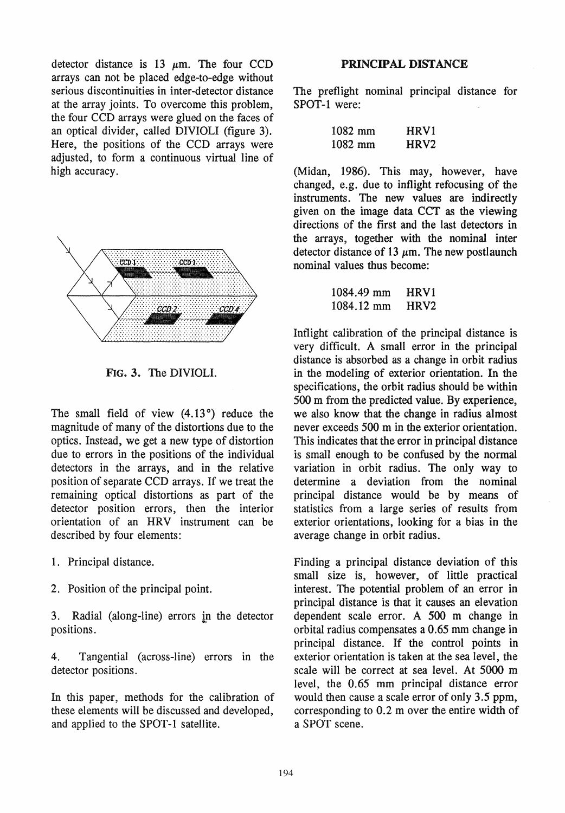detector distance is 13  $\mu$ m. The four CCD arrays can not be placed edge-to-edge without serious discontinuities in inter-detector distance at the array joints. To overcome this problem, the four CCD arrays were glued on the faces of an optical divider, called DIVIOLI (figure 3). Here, the positions of the CCD arrays were adjusted, to form a continuous virtual line of high accuracy.



FIG.3. The DIVIOLI.

The small field of view (4.13°) reduce the magnitude of many of the distortions due to the optics. Instead, we get a new type of distortion due to errors in the positions of the individual detectors in the arrays, and in the relative position of separate CCD arrays. If we treat the remaining optical distortions as part of the detector position errors, then the interior orientation of an HRV instrument can be described by four elements:

- 1. Principal distance.
- 2. Position of the principal point.

3. Radial (along-line) errors in the detector positions.

4. Tangential (across-line) errors in the detector positions.

In this paper, methods for the calibration of these elements will be discussed and developed, and applied to the SPOT-1 satellite.

### PRINCIPAL DISTANCE

The preflight nominal principal distance for SPOT-1 were:

| 1082 mm | HRV1             |
|---------|------------------|
| 1082 mm | HRV <sub>2</sub> |

(Midan, 1986). This may, however, have changed, e.g. due to intlight refocusing of the instruments. The new values are indirectly given on the image data CCT as the viewing directions of the first and the last detectors in the arrays, together with the nominal inter detector distance of 13  $\mu$ m. The new postlaunch nominal values thus become:

```
1084.49 mm 
1084.12 mm 
              HRVI 
              HRV2
```
Inflight calibration of the principal distance is very difficult. A small error in the principal distance is absorbed as a change in orbit radius in the modeling of exterior orientation. In the specifications, the orbit radius should be within 500 m from the predicted value. By experience, we also know that the change in radius almost never exceeds 500 m in the exterior orientation. This indicates that the error in principal distance is small enough to be confused by the normal variation in orbit radius. The only way to determine a deviation from the nominal principal distance would be by means of statistics from a large series of results from exterior orientations, looking for a bias in the average change in orbit radius.

Finding a principal distance deviation of this small size is, however, of little practical interest. The potential problem of an error in principal distance is that it causes an elevation dependent scale error. A 500 m change in orbital radius compensates a 0.65 mm change in principal distance. If the control points in exterior orientation is taken at the sea level, the scale will be correct at sea level. At 5000 m level, the 0.65 mm principal distance error would then cause a scale error of only 3.5 ppm, corresponding to 0.2 m over the entire width of a SPOT scene.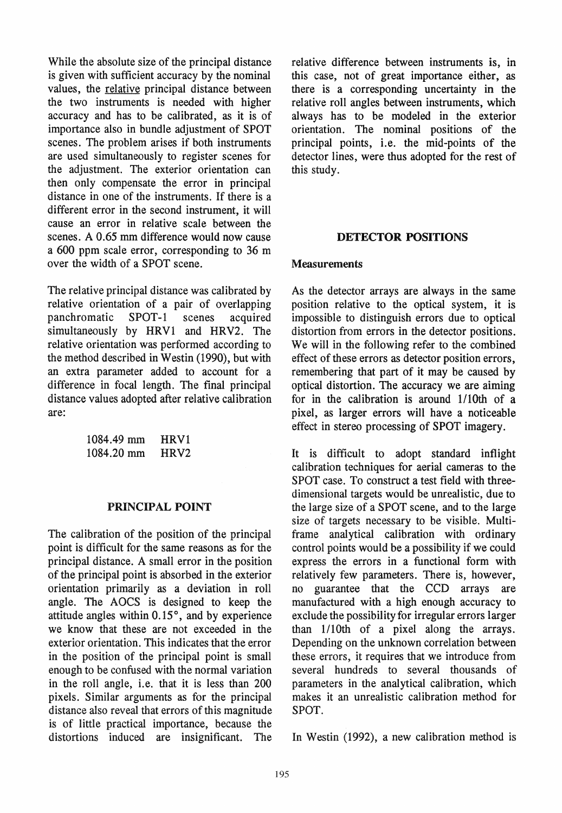While the absolute size of the principal distance is given with sufficient accuracy by the nominal values, the relative principal distance between the two instruments is needed with higher accuracy and has to be calibrated, as it is of importance also in bundle adjustment of SPOT scenes. The problem arises if both instruments are used simultaneously to register scenes for the adjustment. The exterior orientation can then only compensate the error in principal distance in one of the instruments. If there is a different error in the second instrument, it will cause an error in relative scale between the scenes. A 0.65 mm difference would now cause a 600 ppm scale error, corresponding to 36 m over the width of a SPOT scene.

The relative principal distance was calibrated by relative orientation of a pair of overlapping panchromatic SPOT-1 scenes acquired simultaneously by HRVI and HRV2. The relative orientation was performed according to the method described in Westin (1990), but with an extra parameter added to account for a difference in focal length. The final principal distance values adopted after relative calibration are:

| 1084.49 mm | HRV1             |
|------------|------------------|
| 1084.20 mm | HRV <sub>2</sub> |

# PRINCIPAL POINT

The calibration of the position of the principal point is difficult for the same reasons as for the principal distance. A small error in the position of the principal point is absorbed in the exterior orientation primarily as a deviation in roll angle. The AOCS is designed to keep the attitude angles within  $0.15^{\circ}$ , and by experience we know that these are not exceeded in the exterior orientation. This indicates that the error in the position of the principal point is small enough to be confused with the normal variation in the roll angle, i.e. that it is less than 200 pixels. Similar arguments as for the principal distance also reveal that errors of this magnitude is of little practical importance, because the distortions induced are insignificant. The relative difference between instruments is, in this case, not of great importance either, as there is a corresponding uncertainty in the relative roll angles between instruments, which always has to be modeled in the exterior orientation. The nominal positions of the principal points, i.e. the mid-points of the detector lines, were thus adopted for the rest of this study.

# DETECTOR POSITIONS

# **Measurements**

As the detector arrays are always in the same position relative to the optical system, it is impossible to distinguish errors due to optical distortion from errors in the detector positions. We will in the following refer to the combined effect of these errors as detector position errors, remembering that part of it may be caused by optical distortion. The accuracy we are aiming for in the calibration is around 1/10th of a pixel, as larger errors will have a noticeable effect in stereo processing of SPOT imagery.

It is difficult to adopt standard inflight calibration techniques for aerial cameras to the SPOT case. To construct a test field with threedimensional targets would be unrealistic, due to the large size of a SPOT scene, and to the large size of targets necessary to be visible. Multiframe analytical calibration with ordinary control points would be a possibility if we could express the errors in a functional form with relatively few parameters. There is, however, no guarantee that the CCD arrays are manufactured with a high enough accuracy to exclude the possibility for irregular errors larger than I/10th of a pixel along the arrays. Depending on the unknown correlation between these errors, it requires that we introduce from several hundreds to several thousands of parameters in the analytical calibration, which makes it an unrealistic calibration method for SPOT.

In Westin (1992), a new calibration method is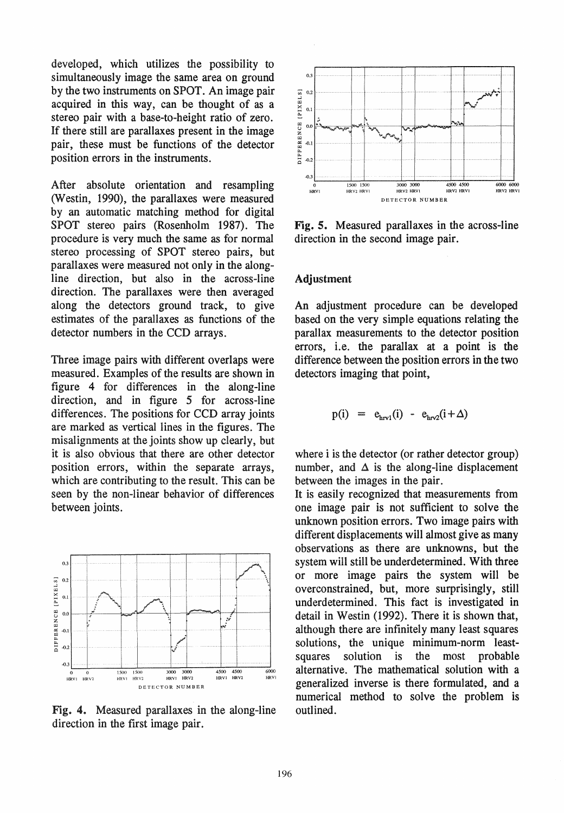developed, which utilizes the possibility to simultaneously image the same area on ground by the two instruments on SPOT. An image pair acquired in this way, can be thought of as a stereo pair with a base-to-height ratio of zero. If there still are parallaxes present in the image pair, these must be functions of the detector position errors in the instruments.

After absolute orientation and resampling (Westin, 1990), the parallaxes were measured by an automatie matching method for digital SPOT stereo pairs (Rosenholm 1987). The procedure is very much the same as for normal stereo processing of SPOT stereo pairs, but parallaxes were measured not only in the alongline direction, but also in the across-line direction. The parallaxes were then averaged along the detectors ground track, to give estimates of the parallaxes as functions of the detector numbers in the CCD arrays.

Three image pairs with different overlaps were measured. Examples of the results are shown in figure 4 for differences in the along-line direction, and in figure 5 for across-line differences. The positions for CCD array joints are marked as vertical lines in the figures. The misalignments at the joints show up clearly, but it is also obvious that there are other detector position errors, within the separate arrays, which are contributing to the result. This can be seen by the non-linear behavior of differences between joints.



Fig. 4. Measured parallaxes in the along-line direction in the first image pair.



Fig. 5. Measured parallaxes in the across-Iine direction in the second image pair.

#### Adjustment

An adjustment procedure can be developed based on the very simple equations relating the parallax measurements to the detector position errors, i.e. the parallax at a point is the difference between the position errors in the two detectors imaging that point,

$$
p(i) = ehrv1(i) - ehrv2(i+\Delta)
$$

where i is the detector (or rather detector group) number, and  $\Delta$  is the along-line displacement between the images in the pair.

It is easily recognized that measurements from one image pair is not sufficient to solve the unknown position errors. Two image pairs with different displacements will almost give as many observations as there are unknowns, but the system will still be underdetermined. With three or more image pairs the system will be overconstrained, but, more surprisingly, still underdetermined. This fact is investigated in detail in Westin (1992). There it is shown that, although there are infinitely many least squares solutions, the unique minimum-norm leastsquares solution is the most probable alternative. The mathematical solution with a generalized inverse is there formulated, and a numerical method to solve the problem is outlined.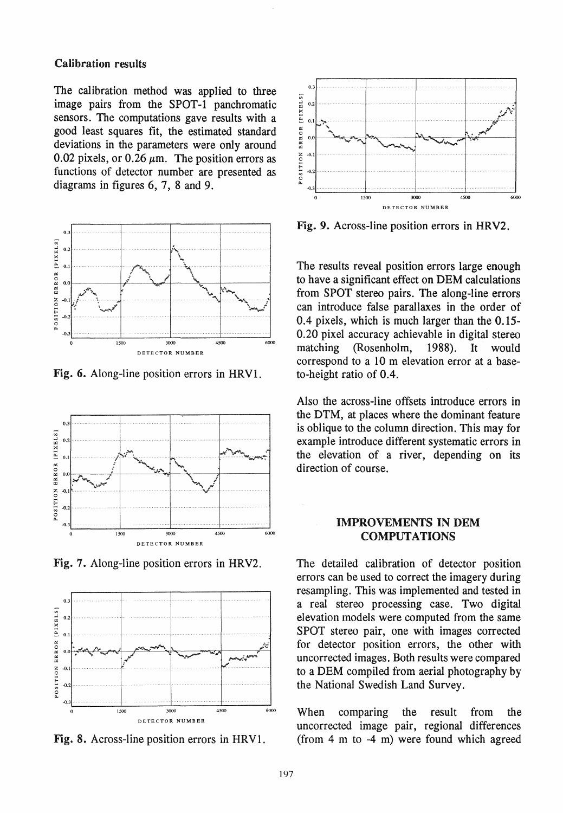### **Calibration results**

The calibration method was applied to three image pairs from the SPOT-1 panchromatic sensors. The computations gave results with a good least squares fit, the estimated standard deviations in the parameters were only around 0.02 pixels, or 0.26  $\mu$ m. The position errors as functions of detector number are presented as diagrams in figures 6, 7, 8 and 9.



Fig. 6. Along-line position errors in HRV1.



Fig. 7. Along-line position errors in HRV2.



Fig. 8. Across-line position errors in HRV1.



Fig. 9. Across-line position errors in HRV2.

The results reveal position errors large enough to have a significant effect on DEM calculations from SPOT stereo pairs. The along-line errors can introduce false parallaxes in the order of 0.4 pixels, which is much larger than the 0.15-0.20 pixel accuracy achievable in digital stereo matching (Rosenholm, 1988). **It** would correspond to a 10 m elevation error at a baseto-height ratio of 0.4.

Also the across-line offsets introduce errors in the DTM, at places where the dominant feature is oblique to the column direction. This may for example introduce different systematic errors in the elevation of a river, depending on its direction of course.

# **IMPROVEMENTS IN DEM COMPUTATIONS**

The detailed calibration of detector position errors can be used to correct the imagery during resampling. This was implemented and tested in a real stereo processing case. Two digital elevation models were computed from the same SPOT stereo pair, one with images corrected for detector position errors, the other with uncorrected images. Both results were compared to a DEM compiled from aerial photography by the National Swedish Land Survey.

When comparing the result from the uncorrected image pair, regional differences (from  $4 \text{ m}$  to  $-4 \text{ m}$ ) were found which agreed